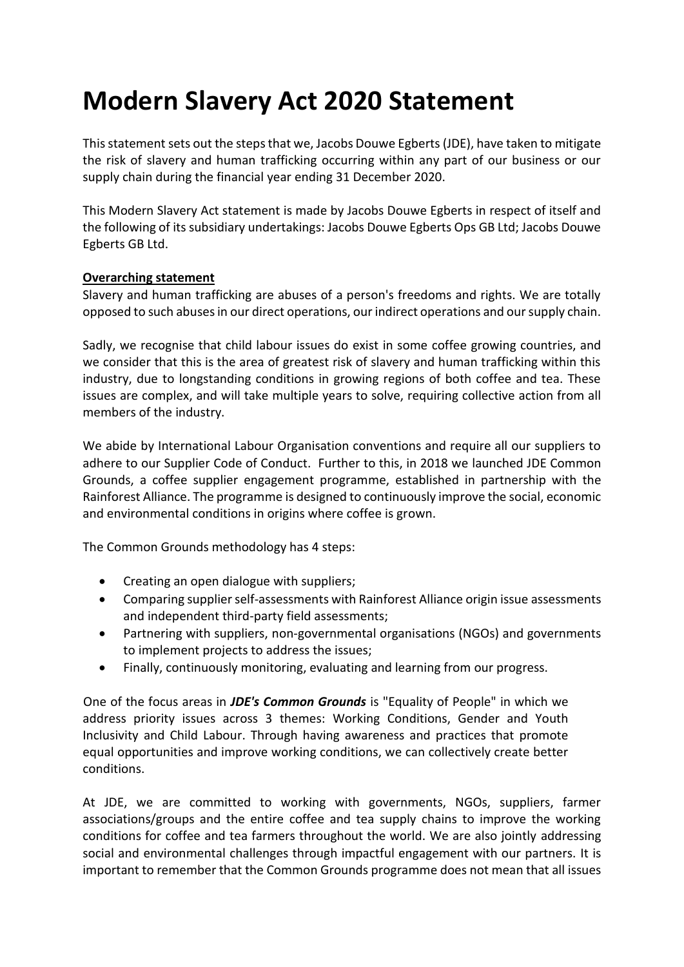# **Modern Slavery Act 2020 Statement**

This statement sets out the steps that we, Jacobs Douwe Egberts (JDE), have taken to mitigate the risk of slavery and human trafficking occurring within any part of our business or our supply chain during the financial year ending 31 December 2020.

This Modern Slavery Act statement is made by Jacobs Douwe Egberts in respect of itself and the following of its subsidiary undertakings: Jacobs Douwe Egberts Ops GB Ltd; Jacobs Douwe Egberts GB Ltd.

## **Overarching statement**

Slavery and human trafficking are abuses of a person's freedoms and rights. We are totally opposed to such abuses in our direct operations, our indirect operations and our supply chain.

Sadly, we recognise that child labour issues do exist in some coffee growing countries, and we consider that this is the area of greatest risk of slavery and human trafficking within this industry, due to longstanding conditions in growing regions of both coffee and tea. These issues are complex, and will take multiple years to solve, requiring collective action from all members of the industry.

We abide by International Labour Organisation conventions and require all our suppliers to adhere to our Supplier Code of Conduct. Further to this, in 2018 we launched JDE Common Grounds, a coffee supplier engagement programme, established in partnership with the Rainforest Alliance. The programme is designed to continuously improve the social, economic and environmental conditions in origins where coffee is grown.

The Common Grounds methodology has 4 steps:

- Creating an open dialogue with suppliers;
- Comparing supplier self-assessments with Rainforest Alliance origin issue assessments and independent third-party field assessments;
- Partnering with suppliers, non-governmental organisations (NGOs) and governments to implement projects to address the issues;
- Finally, continuously monitoring, evaluating and learning from our progress.

One of the focus areas in *JDE's Common Grounds* is "Equality of People" in which we address priority issues across 3 themes: Working Conditions, Gender and Youth Inclusivity and Child Labour. Through having awareness and practices that promote equal opportunities and improve working conditions, we can collectively create better conditions.

At JDE, we are committed to working with governments, NGOs, suppliers, farmer associations/groups and the entire coffee and tea supply chains to improve the working conditions for coffee and tea farmers throughout the world. We are also jointly addressing social and environmental challenges through impactful engagement with our partners. It is important to remember that the Common Grounds programme does not mean that all issues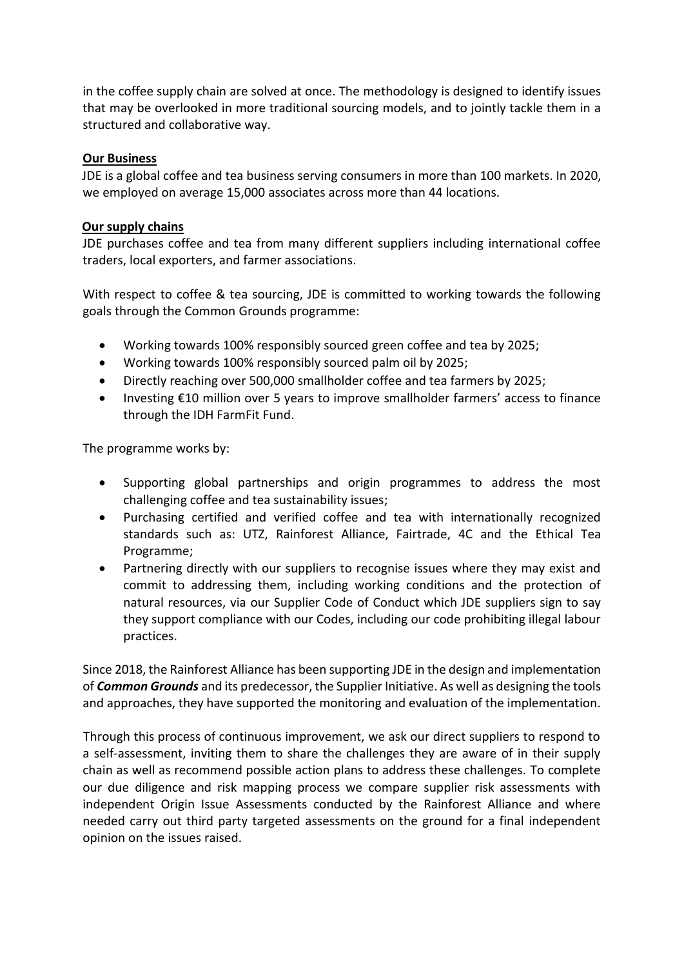in the coffee supply chain are solved at once. The methodology is designed to identify issues that may be overlooked in more traditional sourcing models, and to jointly tackle them in a structured and collaborative way.

## **Our Business**

JDE is a global coffee and tea business serving consumers in more than 100 markets. In 2020, we employed on average 15,000 associates across more than 44 locations.

#### **Our supply chains**

JDE purchases coffee and tea from many different suppliers including international coffee traders, local exporters, and farmer associations.

With respect to coffee & tea sourcing, JDE is committed to working towards the following goals through the Common Grounds programme:

- Working towards 100% responsibly sourced green coffee and tea by 2025;
- Working towards 100% responsibly sourced palm oil by 2025;
- Directly reaching over 500,000 smallholder coffee and tea farmers by 2025;
- Investing €10 million over 5 years to improve smallholder farmers' access to finance through the IDH FarmFit Fund.

The programme works by:

- Supporting global partnerships and origin programmes to address the most challenging coffee and tea sustainability issues;
- Purchasing certified and verified coffee and tea with internationally recognized standards such as: UTZ, Rainforest Alliance, Fairtrade, 4C and the Ethical Tea Programme;
- Partnering directly with our suppliers to recognise issues where they may exist and commit to addressing them, including working conditions and the protection of natural resources, via our Supplier Code of Conduct which JDE suppliers sign to say they support compliance with our Codes, including our code prohibiting illegal labour practices.

Since 2018, the Rainforest Alliance has been supporting JDE in the design and implementation of *Common Grounds* and its predecessor, the Supplier Initiative. As well as designing the tools and approaches, they have supported the monitoring and evaluation of the implementation.

Through this process of continuous improvement, we ask our direct suppliers to respond to a self-assessment, inviting them to share the challenges they are aware of in their supply chain as well as recommend possible action plans to address these challenges. To complete our due diligence and risk mapping process we compare supplier risk assessments with independent Origin Issue Assessments conducted by the Rainforest Alliance and where needed carry out third party targeted assessments on the ground for a final independent opinion on the issues raised.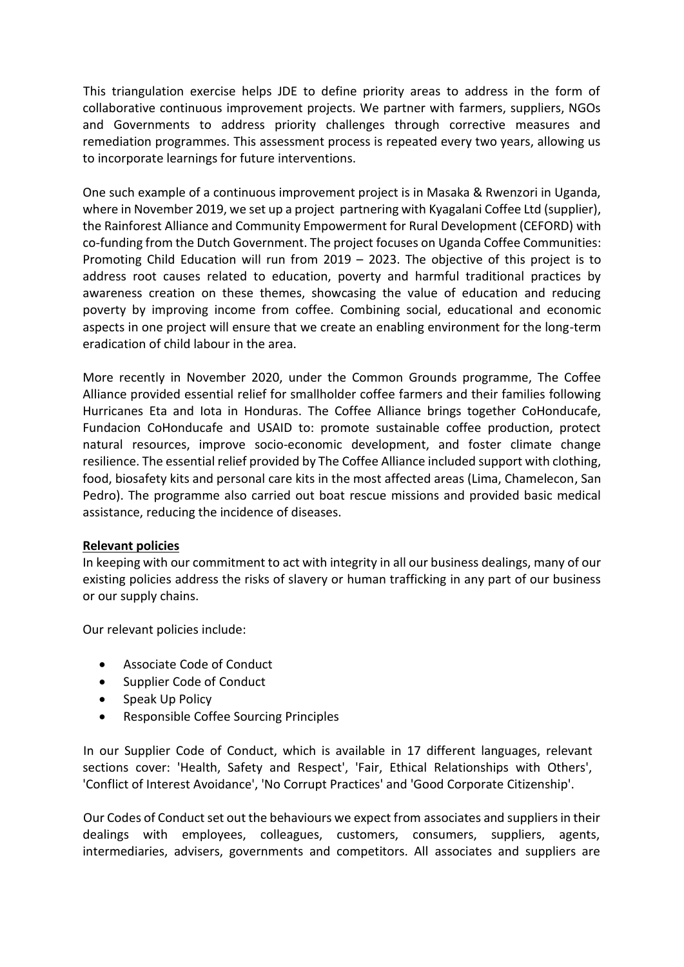This triangulation exercise helps JDE to define priority areas to address in the form of collaborative continuous improvement projects. We partner with farmers, suppliers, NGOs and Governments to address priority challenges through corrective measures and remediation programmes. This assessment process is repeated every two years, allowing us to incorporate learnings for future interventions.

One such example of a continuous improvement project is in Masaka & Rwenzori in Uganda, where in November 2019, we set up a project partnering with Kyagalani Coffee Ltd (supplier), the Rainforest Alliance and Community Empowerment for Rural Development (CEFORD) with co-funding from the Dutch Government. The project focuses on Uganda Coffee Communities: Promoting Child Education will run from 2019 – 2023. The objective of this project is to address root causes related to education, poverty and harmful traditional practices by awareness creation on these themes, showcasing the value of education and reducing poverty by improving income from coffee. Combining social, educational and economic aspects in one project will ensure that we create an enabling environment for the long-term eradication of child labour in the area.

More recently in November 2020, under the Common Grounds programme, The Coffee Alliance provided essential relief for smallholder coffee farmers and their families following Hurricanes Eta and Iota in Honduras. The Coffee Alliance brings together CoHonducafe, Fundacion CoHonducafe and USAID to: promote sustainable coffee production, protect natural resources, improve socio-economic development, and foster climate change resilience. The essential relief provided by The Coffee Alliance included support with clothing, food, biosafety kits and personal care kits in the most affected areas (Lima, Chamelecon, San Pedro). The programme also carried out boat rescue missions and provided basic medical assistance, reducing the incidence of diseases.

#### **Relevant policies**

In keeping with our commitment to act with integrity in all our business dealings, many of our existing policies address the risks of slavery or human trafficking in any part of our business or our supply chains.

Our relevant policies include:

- Associate Code of Conduct
- Supplier Code of Conduct
- Speak Up Policy
- Responsible Coffee Sourcing Principles

In our Supplier Code of Conduct, which is available in 17 different languages, relevant sections cover: 'Health, Safety and Respect', 'Fair, Ethical Relationships with Others', 'Conflict of Interest Avoidance', 'No Corrupt Practices' and 'Good Corporate Citizenship'.

Our Codes of Conduct set out the behaviours we expect from associates and suppliers in their dealings with employees, colleagues, customers, consumers, suppliers, agents, intermediaries, advisers, governments and competitors. All associates and suppliers are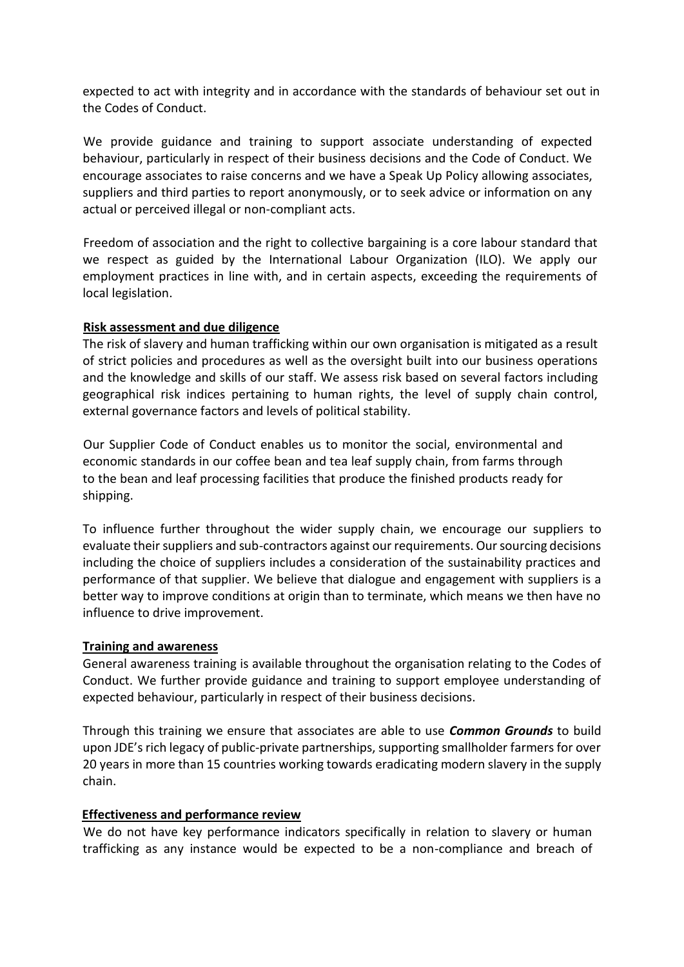expected to act with integrity and in accordance with the standards of behaviour set out in the Codes of Conduct.

We provide guidance and training to support associate understanding of expected behaviour, particularly in respect of their business decisions and the Code of Conduct. We encourage associates to raise concerns and we have a Speak Up Policy allowing associates, suppliers and third parties to report anonymously, or to seek advice or information on any actual or perceived illegal or non-compliant acts.

Freedom of association and the right to collective bargaining is a core labour standard that we respect as guided by the International Labour Organization (ILO). We apply our employment practices in line with, and in certain aspects, exceeding the requirements of local legislation.

## **Risk assessment and due diligence**

The risk of slavery and human trafficking within our own organisation is mitigated as a result of strict policies and procedures as well as the oversight built into our business operations and the knowledge and skills of our staff. We assess risk based on several factors including geographical risk indices pertaining to human rights, the level of supply chain control, external governance factors and levels of political stability.

Our Supplier Code of Conduct enables us to monitor the social, environmental and economic standards in our coffee bean and tea leaf supply chain, from farms through to the bean and leaf processing facilities that produce the finished products ready for shipping.

To influence further throughout the wider supply chain, we encourage our suppliers to evaluate their suppliers and sub-contractors against our requirements. Our sourcing decisions including the choice of suppliers includes a consideration of the sustainability practices and performance of that supplier. We believe that dialogue and engagement with suppliers is a better way to improve conditions at origin than to terminate, which means we then have no influence to drive improvement.

#### **Training and awareness**

General awareness training is available throughout the organisation relating to the Codes of Conduct. We further provide guidance and training to support employee understanding of expected behaviour, particularly in respect of their business decisions.

Through this training we ensure that associates are able to use *Common Grounds* to build upon JDE's rich legacy of public-private partnerships, supporting smallholder farmers for over 20 years in more than 15 countries working towards eradicating modern slavery in the supply chain.

#### **Effectiveness and performance review**

We do not have key performance indicators specifically in relation to slavery or human trafficking as any instance would be expected to be a non-compliance and breach of